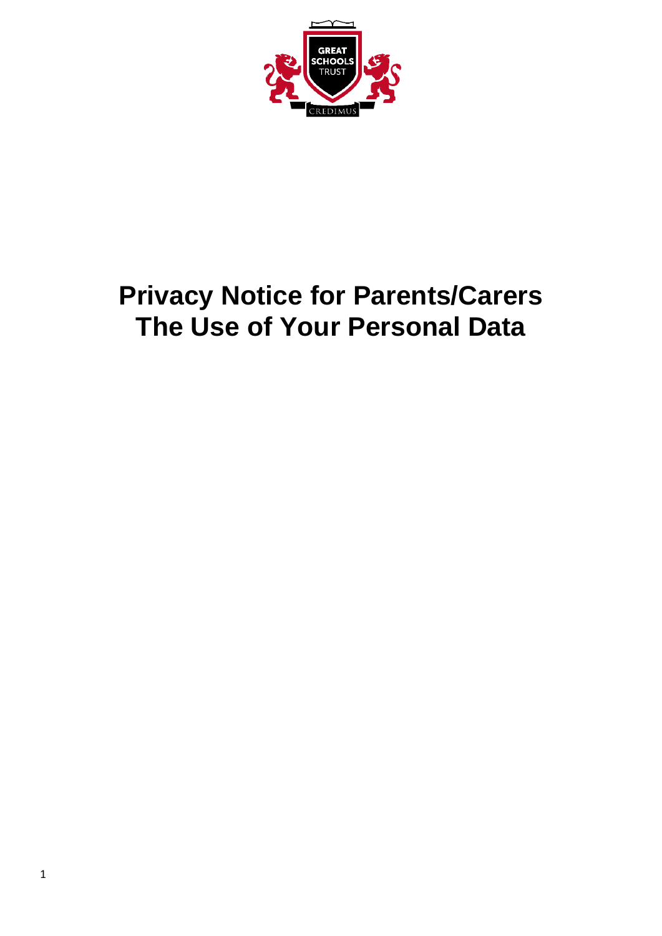

# **Privacy Notice for Parents/Carers The Use of Your Personal Data**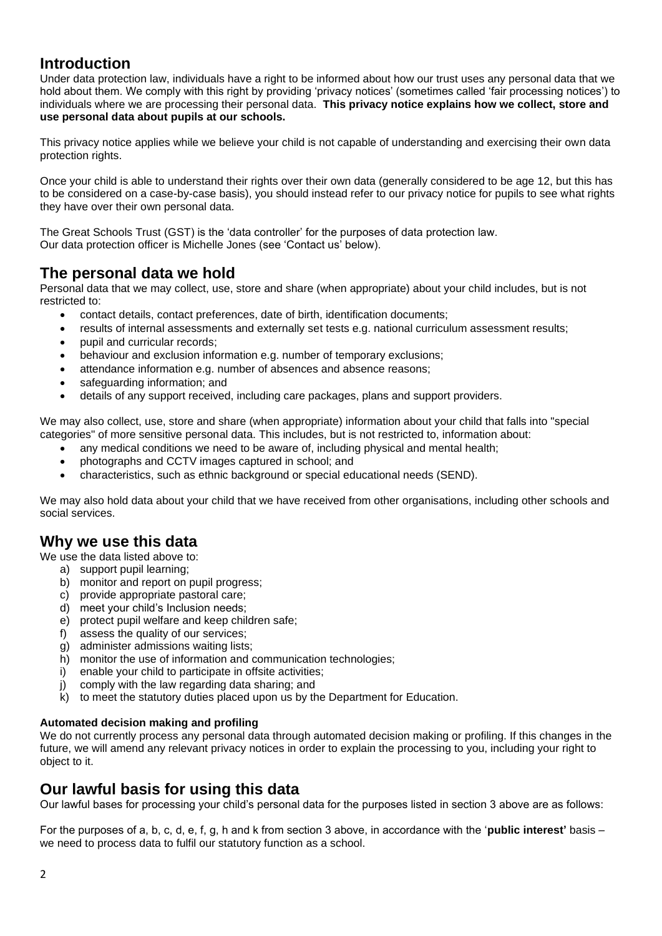## **Introduction**

Under data protection law, individuals have a right to be informed about how our trust uses any personal data that we hold about them. We comply with this right by providing 'privacy notices' (sometimes called 'fair processing notices') to individuals where we are processing their personal data. **This privacy notice explains how we collect, store and use personal data about pupils at our schools.**

This privacy notice applies while we believe your child is not capable of understanding and exercising their own data protection rights.

Once your child is able to understand their rights over their own data (generally considered to be age 12, but this has to be considered on a case-by-case basis), you should instead refer to our privacy notice for pupils to see what rights they have over their own personal data.

The Great Schools Trust (GST) is the 'data controller' for the purposes of data protection law. Our data protection officer is Michelle Jones (see 'Contact us' below).

## **The personal data we hold**

Personal data that we may collect, use, store and share (when appropriate) about your child includes, but is not restricted to:

- contact details, contact preferences, date of birth, identification documents;
- results of internal assessments and externally set tests e.g. national curriculum assessment results;
- pupil and curricular records;
- behaviour and exclusion information e.g. number of temporary exclusions;
- attendance information e.g. number of absences and absence reasons;
- safeguarding information; and
- details of any support received, including care packages, plans and support providers.

We may also collect, use, store and share (when appropriate) information about your child that falls into "special categories" of more sensitive personal data. This includes, but is not restricted to, information about:

- any medical conditions we need to be aware of, including physical and mental health;
- photographs and CCTV images captured in school; and
- characteristics, such as ethnic background or special educational needs (SEND).

We may also hold data about your child that we have received from other organisations, including other schools and social services.

# **Why we use this data**

We use the data listed above to:

- a) support pupil learning;
- b) monitor and report on pupil progress;
- c) provide appropriate pastoral care;
- d) meet your child's Inclusion needs;
- e) protect pupil welfare and keep children safe;
- f) assess the quality of our services;
- g) administer admissions waiting lists;
- h) monitor the use of information and communication technologies:
- i) enable your child to participate in offsite activities;
- j) comply with the law regarding data sharing; and
- k) to meet the statutory duties placed upon us by the Department for Education.

#### **Automated decision making and profiling**

We do not currently process any personal data through automated decision making or profiling. If this changes in the future, we will amend any relevant privacy notices in order to explain the processing to you, including your right to object to it.

## **Our lawful basis for using this data**

Our lawful bases for processing your child's personal data for the purposes listed in section 3 above are as follows:

For the purposes of a, b, c, d, e, f, g, h and k from section 3 above, in accordance with the '**public interest'** basis – we need to process data to fulfil our statutory function as a school.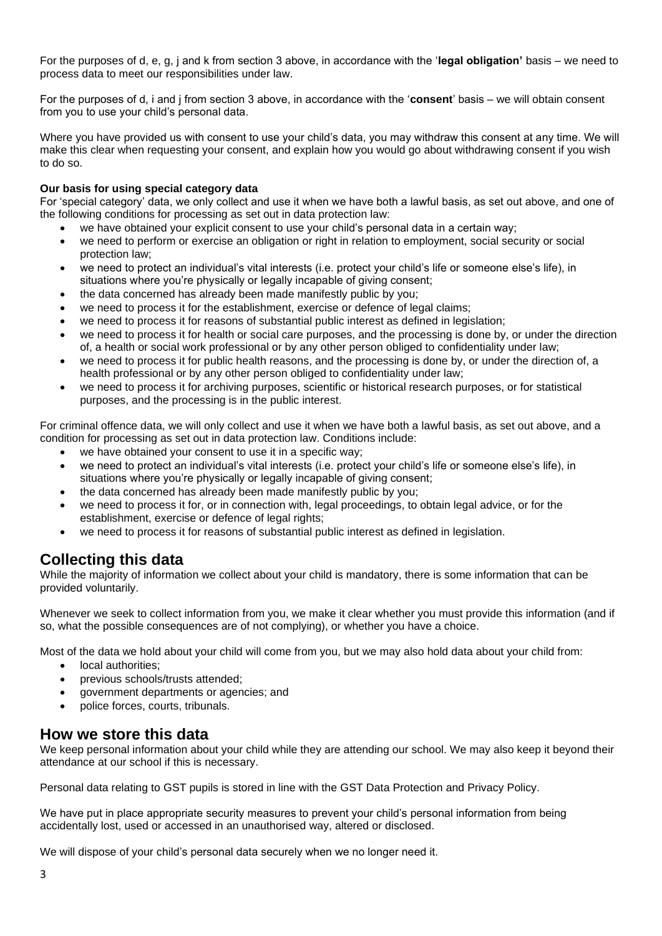For the purposes of d, e, g, j and k from section 3 above, in accordance with the '**legal obligation'** basis – we need to process data to meet our responsibilities under law.

For the purposes of d, i and j from section 3 above, in accordance with the '**consent**' basis – we will obtain consent from you to use your child's personal data.

Where you have provided us with consent to use your child's data, you may withdraw this consent at any time. We will make this clear when requesting your consent, and explain how you would go about withdrawing consent if you wish to do so.

#### **Our basis for using special category data**

For 'special category' data, we only collect and use it when we have both a lawful basis, as set out above, and one of the following conditions for processing as set out in data protection law:

- we have obtained your explicit consent to use your child's personal data in a certain way;
- we need to perform or exercise an obligation or right in relation to employment, social security or social protection law;
- we need to protect an individual's vital interests (i.e. protect your child's life or someone else's life), in situations where you're physically or legally incapable of giving consent;
- the data concerned has already been made manifestly public by you;
- we need to process it for the establishment, exercise or defence of legal claims;
- we need to process it for reasons of substantial public interest as defined in legislation;
- we need to process it for health or social care purposes, and the processing is done by, or under the direction of, a health or social work professional or by any other person obliged to confidentiality under law;
- we need to process it for public health reasons, and the processing is done by, or under the direction of, a health professional or by any other person obliged to confidentiality under law;
- we need to process it for archiving purposes, scientific or historical research purposes, or for statistical purposes, and the processing is in the public interest.

For criminal offence data, we will only collect and use it when we have both a lawful basis, as set out above, and a condition for processing as set out in data protection law. Conditions include:

- we have obtained your consent to use it in a specific way;
- we need to protect an individual's vital interests (i.e. protect your child's life or someone else's life), in situations where you're physically or legally incapable of giving consent;
- the data concerned has already been made manifestly public by you;
- we need to process it for, or in connection with, legal proceedings, to obtain legal advice, or for the establishment, exercise or defence of legal rights;
- we need to process it for reasons of substantial public interest as defined in legislation.

# **Collecting this data**

While the majority of information we collect about your child is mandatory, there is some information that can be provided voluntarily.

Whenever we seek to collect information from you, we make it clear whether you must provide this information (and if so, what the possible consequences are of not complying), or whether you have a choice.

Most of the data we hold about your child will come from you, but we may also hold data about your child from:

- local authorities;
- previous schools/trusts attended;
- government departments or agencies; and
- police forces, courts, tribunals.

### **How we store this data**

We keep personal information about your child while they are attending our school. We may also keep it beyond their attendance at our school if this is necessary.

Personal data relating to GST pupils is stored in line with the GST Data Protection and Privacy Policy.

We have put in place appropriate security measures to prevent your child's personal information from being accidentally lost, used or accessed in an unauthorised way, altered or disclosed.

We will dispose of your child's personal data securely when we no longer need it.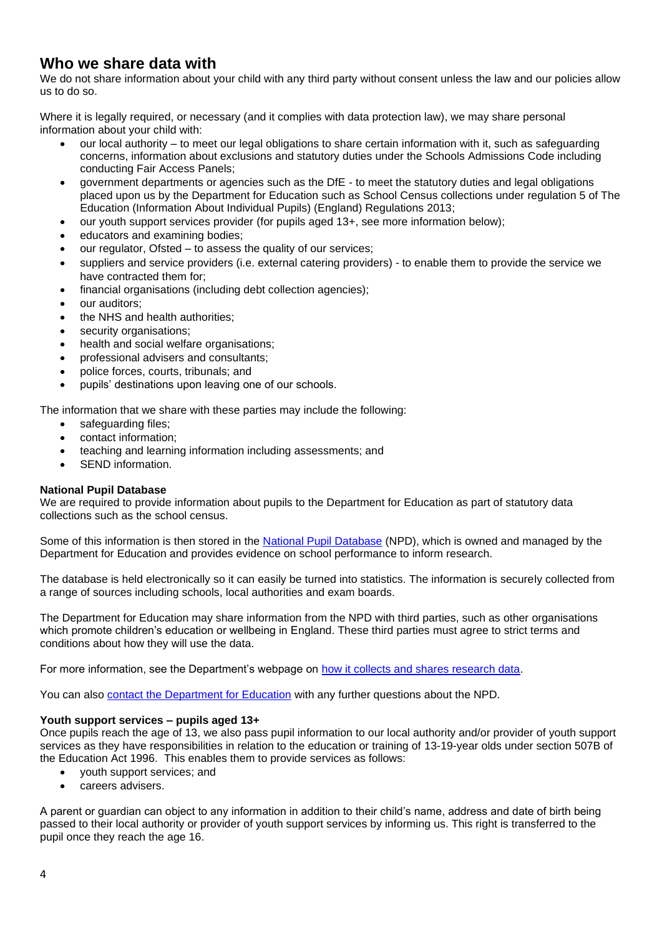## **Who we share data with**

We do not share information about your child with any third party without consent unless the law and our policies allow us to do so.

Where it is legally required, or necessary (and it complies with data protection law), we may share personal information about your child with:

- our local authority to meet our legal obligations to share certain information with it, such as safeguarding concerns, information about exclusions and statutory duties under the Schools Admissions Code including conducting Fair Access Panels;
- government departments or agencies such as the DfE to meet the statutory duties and legal obligations placed upon us by the Department for Education such as School Census collections under regulation 5 of The Education (Information About Individual Pupils) (England) Regulations 2013;
- our youth support services provider (for pupils aged 13+, see more information below);
- educators and examining bodies;
- our regulator, Ofsted to assess the quality of our services;
- suppliers and service providers (i.e. external catering providers) to enable them to provide the service we have contracted them for;
- financial organisations (including debt collection agencies);
- our auditors;
- the NHS and health authorities;
- security organisations:
- health and social welfare organisations;
- professional advisers and consultants;
- police forces, courts, tribunals; and
- pupils' destinations upon leaving one of our schools.

The information that we share with these parties may include the following:

- safeguarding files;
- contact information;
- teaching and learning information including assessments; and
- SEND information.

#### **National Pupil Database**

We are required to provide information about pupils to the Department for Education as part of statutory data collections such as the school census.

Some of this information is then stored in the [National Pupil Database](https://www.gov.uk/government/collections/national-pupil-database) (NPD), which is owned and managed by the Department for Education and provides evidence on school performance to inform research.

The database is held electronically so it can easily be turned into statistics. The information is securely collected from a range of sources including schools, local authorities and exam boards.

The Department for Education may share information from the NPD with third parties, such as other organisations which promote children's education or wellbeing in England. These third parties must agree to strict terms and conditions about how they will use the data.

For more information, see the Department's webpage on [how it collects and shares research data.](https://www.gov.uk/data-protection-how-we-collect-and-share-research-data)

You can also [contact the Department for Education](https://www.gov.uk/contact-dfe) with any further questions about the NPD.

#### **Youth support services – pupils aged 13+**

Once pupils reach the age of 13, we also pass pupil information to our local authority and/or provider of youth support services as they have responsibilities in relation to the education or training of 13-19-year olds under section 507B of the Education Act 1996. This enables them to provide services as follows:

- youth support services; and
- careers advisers.

A parent or guardian can object to any information in addition to their child's name, address and date of birth being passed to their local authority or provider of youth support services by informing us. This right is transferred to the pupil once they reach the age 16.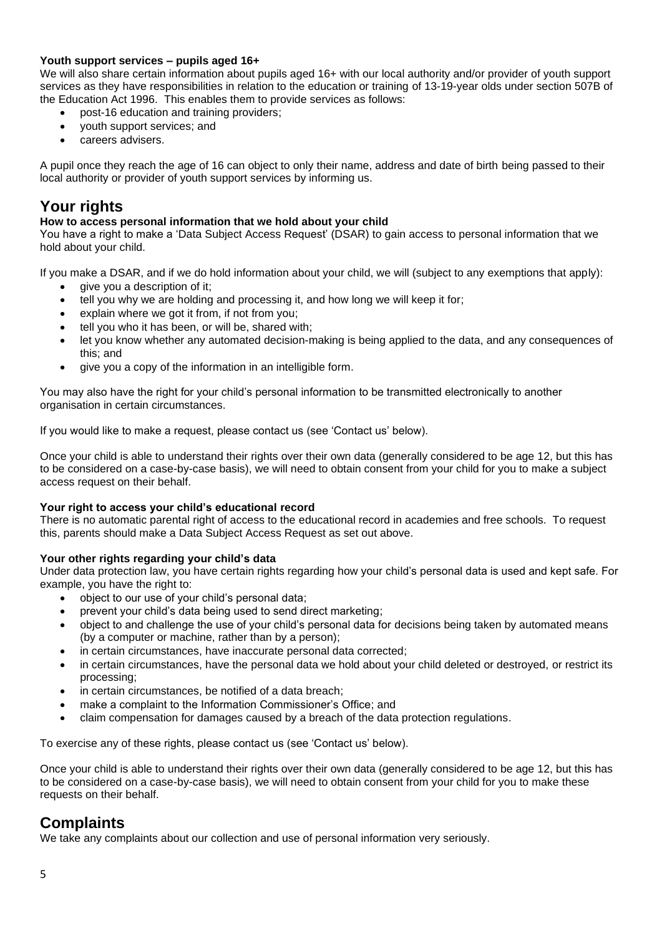#### **Youth support services – pupils aged 16+**

We will also share certain information about pupils aged 16+ with our local authority and/or provider of youth support services as they have responsibilities in relation to the education or training of 13-19-year olds under section 507B of the Education Act 1996. This enables them to provide services as follows:

- post-16 education and training providers;
- youth support services; and
- careers advisers.

A pupil once they reach the age of 16 can object to only their name, address and date of birth being passed to their local authority or provider of youth support services by informing us.

# **Your rights**

#### **How to access personal information that we hold about your child**

You have a right to make a 'Data Subject Access Request' (DSAR) to gain access to personal information that we hold about your child.

If you make a DSAR, and if we do hold information about your child, we will (subject to any exemptions that apply): give you a description of it;

- tell you why we are holding and processing it, and how long we will keep it for;
- explain where we got it from, if not from you;
- tell you who it has been, or will be, shared with;
- let you know whether any automated decision-making is being applied to the data, and any consequences of this; and
- give you a copy of the information in an intelligible form.

You may also have the right for your child's personal information to be transmitted electronically to another organisation in certain circumstances.

If you would like to make a request, please contact us (see 'Contact us' below).

Once your child is able to understand their rights over their own data (generally considered to be age 12, but this has to be considered on a case-by-case basis), we will need to obtain consent from your child for you to make a subject access request on their behalf.

#### **Your right to access your child's educational record**

There is no automatic parental right of access to the educational record in academies and free schools. To request this, parents should make a Data Subject Access Request as set out above.

#### **Your other rights regarding your child's data**

Under data protection law, you have certain rights regarding how your child's personal data is used and kept safe. For example, you have the right to:

- object to our use of your child's personal data;
- prevent your child's data being used to send direct marketing;
- object to and challenge the use of your child's personal data for decisions being taken by automated means (by a computer or machine, rather than by a person);
- in certain circumstances, have inaccurate personal data corrected;
- in certain circumstances, have the personal data we hold about your child deleted or destroyed, or restrict its processing;
- in certain circumstances, be notified of a data breach;
- make a complaint to the Information Commissioner's Office; and
- claim compensation for damages caused by a breach of the data protection regulations.

To exercise any of these rights, please contact us (see 'Contact us' below).

Once your child is able to understand their rights over their own data (generally considered to be age 12, but this has to be considered on a case-by-case basis), we will need to obtain consent from your child for you to make these requests on their behalf.

## **Complaints**

We take any complaints about our collection and use of personal information very seriously.